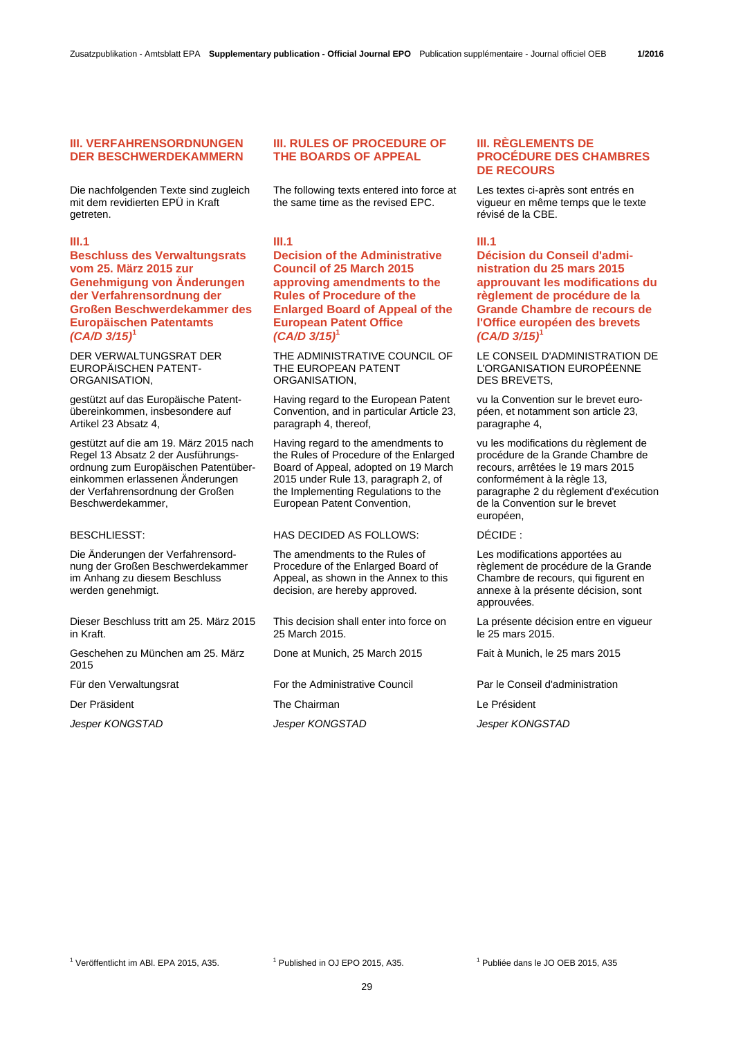# **III. VERFAHRENSORDNUNGEN DER BESCHWERDEKAMMERN**

Die nachfolgenden Texte sind zugleich mit dem revidierten EPÜ in Kraft getreten.

# **III.1**

**Beschluss des Verwaltungsrats vom 25. März 2015 zur Genehmigung von Änderungen der Verfahrensordnung der Großen Beschwerdekammer des Europäischen Patentamts**  *(CA/D 3/15)***<sup>1</sup>**

DER VERWALTUNGSRAT DER EUROPÄISCHEN PATENT-ORGANISATION,

gestützt auf das Europäische Patentübereinkommen, insbesondere auf Artikel 23 Absatz 4,

gestützt auf die am 19. März 2015 nach Regel 13 Absatz 2 der Ausführungsordnung zum Europäischen Patentübereinkommen erlassenen Änderungen der Verfahrensordnung der Großen Beschwerdekammer,

Die Änderungen der Verfahrensordnung der Großen Beschwerdekammer im Anhang zu diesem Beschluss werden genehmigt.

Dieser Beschluss tritt am 25. März 2015 in Kraft.

Geschehen zu München am 25. März 2015

*Jesper KONGSTAD Jesper KONGSTAD Jesper KONGSTAD*

# **III. RULES OF PROCEDURE OF THE BOARDS OF APPEAL**

 The following texts entered into force at the same time as the revised EPC.

# **III.1**

**Decision of the Administrative Council of 25 March 2015 approving amendments to the Rules of Procedure of the Enlarged Board of Appeal of the European Patent Office**  *(CA/D 3/15)***<sup>1</sup>**

 THE ADMINISTRATIVE COUNCIL OF THE EUROPEAN PATENT ORGANISATION,

 Having regard to the European Patent Convention, and in particular Article 23, paragraph 4, thereof,

 Having regard to the amendments to the Rules of Procedure of the Enlarged Board of Appeal, adopted on 19 March 2015 under Rule 13, paragraph 2, of the Implementing Regulations to the European Patent Convention,

# BESCHLIESST: HAS DECIDED AS FOLLOWS: DÉCIDE :

 The amendments to the Rules of Procedure of the Enlarged Board of Appeal, as shown in the Annex to this decision, are hereby approved.

 This decision shall enter into force on 25 March 2015.

Done at Munich, 25 March 2015 Fait à Munich, le 25 mars 2015

Für den Verwaltungsrat For the Administrative Council Par le Conseil d'administration

Der Präsident **The Chairman** Chairman Le Président

# **III. RÈGLEMENTS DE PROCÉDURE DES CHAMBRES DE RECOURS**

 Les textes ci-après sont entrés en vigueur en même temps que le texte révisé de la CBE.

# **III.1**

**Décision du Conseil d'administration du 25 mars 2015 approuvant les modifications du règlement de procédure de la Grande Chambre de recours de l'Office européen des brevets**  *(CA/D 3/15)***<sup>1</sup>**

 LE CONSEIL D'ADMINISTRATION DE L'ORGANISATION EUROPÉENNE DES BREVETS,

 vu la Convention sur le brevet européen, et notamment son article 23, paragraphe 4,

 vu les modifications du règlement de procédure de la Grande Chambre de recours, arrêtées le 19 mars 2015 conformément à la règle 13, paragraphe 2 du règlement d'exécution de la Convention sur le brevet européen,

 Les modifications apportées au règlement de procédure de la Grande Chambre de recours, qui figurent en annexe à la présente décision, sont approuvées.

 La présente décision entre en vigueur le 25 mars 2015.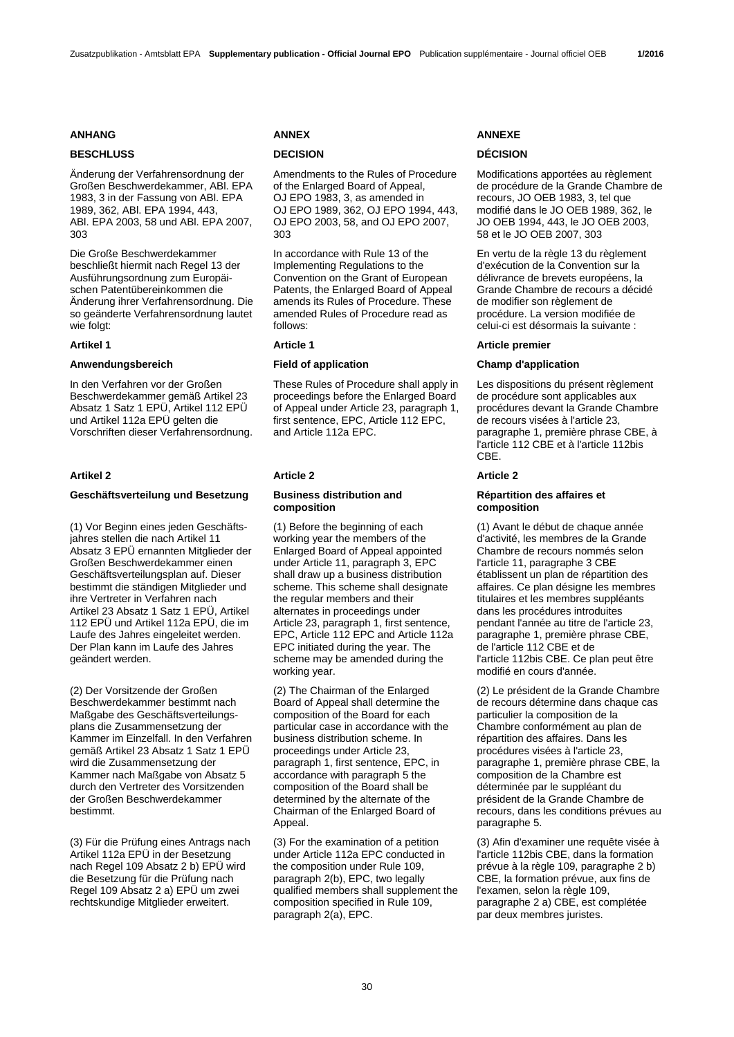# **BESCHLUSS DECISION DÉCISION**

Änderung der Verfahrensordnung der Großen Beschwerdekammer, ABl. EPA 1983, 3 in der Fassung von ABl. EPA 1989, 362, ABl. EPA 1994, 443, ABl. EPA 2003, 58 und ABl. EPA 2007, 303

Die Große Beschwerdekammer beschließt hiermit nach Regel 13 der Ausführungsordnung zum Europäischen Patentübereinkommen die Änderung ihrer Verfahrensordnung. Die so geänderte Verfahrensordnung lautet wie folgt:

In den Verfahren vor der Großen Beschwerdekammer gemäß Artikel 23 Absatz 1 Satz 1 EPÜ, Artikel 112 EPÜ und Artikel 112a EPÜ gelten die Vorschriften dieser Verfahrensordnung.

## **Artikel 2 Article 2 Article 2**

# **Geschäftsverteilung und Besetzung Business distribution and**

(1) Vor Beginn eines jeden Geschäftsjahres stellen die nach Artikel 11 Absatz 3 EPÜ ernannten Mitglieder der Großen Beschwerdekammer einen Geschäftsverteilungsplan auf. Dieser bestimmt die ständigen Mitglieder und ihre Vertreter in Verfahren nach Artikel 23 Absatz 1 Satz 1 EPÜ, Artikel 112 EPÜ und Artikel 112a EPÜ, die im Laufe des Jahres eingeleitet werden. Der Plan kann im Laufe des Jahres geändert werden.

(2) Der Vorsitzende der Großen Beschwerdekammer bestimmt nach Maßgabe des Geschäftsverteilungsplans die Zusammensetzung der Kammer im Einzelfall. In den Verfahren gemäß Artikel 23 Absatz 1 Satz 1 EPÜ wird die Zusammensetzung der Kammer nach Maßgabe von Absatz 5 durch den Vertreter des Vorsitzenden der Großen Beschwerdekammer bestimmt.

(3) Für die Prüfung eines Antrags nach Artikel 112a EPÜ in der Besetzung nach Regel 109 Absatz 2 b) EPÜ wird die Besetzung für die Prüfung nach Regel 109 Absatz 2 a) EPÜ um zwei rechtskundige Mitglieder erweitert.

Amendments to the Rules of Procedure of the Enlarged Board of Appeal, OJ EPO 1983, 3, as amended in OJ EPO 1989, 362, OJ EPO 1994, 443, OJ EPO 2003, 58, and OJ EPO 2007, 303

 In accordance with Rule 13 of the Implementing Regulations to the Convention on the Grant of European Patents, the Enlarged Board of Appeal amends its Rules of Procedure. These amended Rules of Procedure read as follows:

 These Rules of Procedure shall apply in proceedings before the Enlarged Board of Appeal under Article 23, paragraph 1, first sentence, EPC, Article 112 EPC, and Article 112a EPC.

# **composition**

 (1) Before the beginning of each working year the members of the Enlarged Board of Appeal appointed under Article 11, paragraph 3, EPC shall draw up a business distribution scheme. This scheme shall designate the regular members and their alternates in proceedings under Article 23, paragraph 1, first sentence, EPC, Article 112 EPC and Article 112a EPC initiated during the year. The scheme may be amended during the working year.

 (2) The Chairman of the Enlarged Board of Appeal shall determine the composition of the Board for each particular case in accordance with the business distribution scheme. In proceedings under Article 23, paragraph 1, first sentence, EPC, in accordance with paragraph 5 the composition of the Board shall be determined by the alternate of the Chairman of the Enlarged Board of Appeal.

 (3) For the examination of a petition under Article 112a EPC conducted in the composition under Rule 109, paragraph 2(b), EPC, two legally qualified members shall supplement the composition specified in Rule 109, paragraph 2(a), EPC.

## **ANHANG ANNEX ANNEXE**

 Modifications apportées au règlement de procédure de la Grande Chambre de recours, JO OEB 1983, 3, tel que modifié dans le JO OEB 1989, 362, le JO OEB 1994, 443, le JO OEB 2003, 58 et le JO OEB 2007, 303

 En vertu de la règle 13 du règlement d'exécution de la Convention sur la délivrance de brevets européens, la Grande Chambre de recours a décidé de modifier son règlement de procédure. La version modifiée de celui-ci est désormais la suivante :

# **Artikel 1 Article 1 Article premier**

## **Anwendungsbereich Field of application Champ d'application**

 Les dispositions du présent règlement de procédure sont applicables aux procédures devant la Grande Chambre de recours visées à l'article 23, paragraphe 1, première phrase CBE, à l'article 112 CBE et à l'article 112bis CBE.

## **Répartition des affaires et composition**

 (1) Avant le début de chaque année d'activité, les membres de la Grande Chambre de recours nommés selon l'article 11, paragraphe 3 CBE établissent un plan de répartition des affaires. Ce plan désigne les membres titulaires et les membres suppléants dans les procédures introduites pendant l'année au titre de l'article 23, paragraphe 1, première phrase CBE, de l'article 112 CBE et de l'article 112bis CBE. Ce plan peut être modifié en cours d'année.

 (2) Le président de la Grande Chambre de recours détermine dans chaque cas particulier la composition de la Chambre conformément au plan de répartition des affaires. Dans les procédures visées à l'article 23, paragraphe 1, première phrase CBE, la composition de la Chambre est déterminée par le suppléant du président de la Grande Chambre de recours, dans les conditions prévues au paragraphe 5.

 (3) Afin d'examiner une requête visée à l'article 112bis CBE, dans la formation prévue à la règle 109, paragraphe 2 b) CBE, la formation prévue, aux fins de l'examen, selon la règle 109, paragraphe 2 a) CBE, est complétée par deux membres juristes.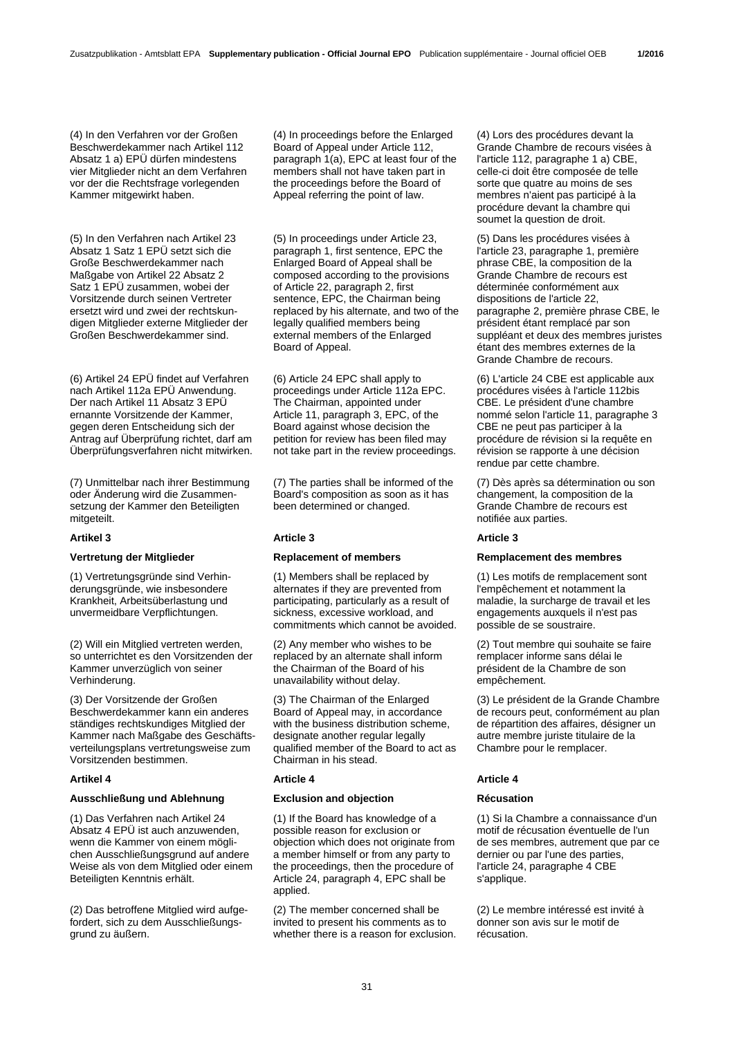(4) In den Verfahren vor der Großen Beschwerdekammer nach Artikel 112 Absatz 1 a) EPÜ dürfen mindestens vier Mitglieder nicht an dem Verfahren vor der die Rechtsfrage vorlegenden Kammer mitgewirkt haben.

(5) In den Verfahren nach Artikel 23 Absatz 1 Satz 1 EPÜ setzt sich die Große Beschwerdekammer nach Maßgabe von Artikel 22 Absatz 2 Satz 1 EPÜ zusammen, wobei der Vorsitzende durch seinen Vertreter ersetzt wird und zwei der rechtskundigen Mitglieder externe Mitglieder der Großen Beschwerdekammer sind.

(6) Artikel 24 EPÜ findet auf Verfahren nach Artikel 112a EPÜ Anwendung. Der nach Artikel 11 Absatz 3 EPÜ ernannte Vorsitzende der Kammer, gegen deren Entscheidung sich der Antrag auf Überprüfung richtet, darf am Überprüfungsverfahren nicht mitwirken.

(7) Unmittelbar nach ihrer Bestimmung oder Änderung wird die Zusammensetzung der Kammer den Beteiligten mitgeteilt.

(1) Vertretungsgründe sind Verhinderungsgründe, wie insbesondere Krankheit, Arbeitsüberlastung und unvermeidbare Verpflichtungen.

(2) Will ein Mitglied vertreten werden, so unterrichtet es den Vorsitzenden der Kammer unverzüglich von seiner Verhinderung.

(3) Der Vorsitzende der Großen Beschwerdekammer kann ein anderes ständiges rechtskundiges Mitglied der Kammer nach Maßgabe des Geschäftsverteilungsplans vertretungsweise zum Vorsitzenden bestimmen.

## **Artikel 4 Article 4 Article 4**

## **Ausschließung und Ablehnung Exclusion and objection Récusation**

(1) Das Verfahren nach Artikel 24 Absatz 4 EPÜ ist auch anzuwenden, wenn die Kammer von einem möglichen Ausschließungsgrund auf andere Weise als von dem Mitglied oder einem Beteiligten Kenntnis erhält.

(2) Das betroffene Mitglied wird aufgefordert, sich zu dem Ausschließungsgrund zu äußern.

 (4) In proceedings before the Enlarged Board of Appeal under Article 112, paragraph 1(a), EPC at least four of the members shall not have taken part in the proceedings before the Board of Appeal referring the point of law.

 (5) In proceedings under Article 23, paragraph 1, first sentence, EPC the Enlarged Board of Appeal shall be composed according to the provisions of Article 22, paragraph 2, first sentence, EPC, the Chairman being replaced by his alternate, and two of the legally qualified members being external members of the Enlarged Board of Appeal.

 (6) Article 24 EPC shall apply to proceedings under Article 112a EPC. The Chairman, appointed under Article 11, paragraph 3, EPC, of the Board against whose decision the petition for review has been filed may not take part in the review proceedings.

 (7) The parties shall be informed of the Board's composition as soon as it has been determined or changed.

## **Artikel 3 Article 3 Article 3**

 (1) Members shall be replaced by alternates if they are prevented from participating, particularly as a result of sickness, excessive workload, and commitments which cannot be avoided.

 (2) Any member who wishes to be replaced by an alternate shall inform the Chairman of the Board of his unavailability without delay.

 (3) The Chairman of the Enlarged Board of Appeal may, in accordance with the business distribution scheme, designate another regular legally qualified member of the Board to act as Chairman in his stead.

 (1) If the Board has knowledge of a possible reason for exclusion or objection which does not originate from a member himself or from any party to the proceedings, then the procedure of Article 24, paragraph 4, EPC shall be applied.

 (2) The member concerned shall be invited to present his comments as to whether there is a reason for exclusion.

 (4) Lors des procédures devant la Grande Chambre de recours visées à l'article 112, paragraphe 1 a) CBE, celle-ci doit être composée de telle sorte que quatre au moins de ses membres n'aient pas participé à la procédure devant la chambre qui soumet la question de droit.

 (5) Dans les procédures visées à l'article 23, paragraphe 1, première phrase CBE, la composition de la Grande Chambre de recours est déterminée conformément aux dispositions de l'article 22, paragraphe 2, première phrase CBE, le président étant remplacé par son suppléant et deux des membres juristes étant des membres externes de la Grande Chambre de recours.

 (6) L'article 24 CBE est applicable aux procédures visées à l'article 112bis CBE. Le président d'une chambre nommé selon l'article 11, paragraphe 3 CBE ne peut pas participer à la procédure de révision si la requête en révision se rapporte à une décision rendue par cette chambre.

 (7) Dès après sa détermination ou son changement, la composition de la Grande Chambre de recours est notifiée aux parties.

## **Vertretung der Mitglieder Replacement of members Remplacement des membres**

 (1) Les motifs de remplacement sont l'empêchement et notamment la maladie, la surcharge de travail et les engagements auxquels il n'est pas possible de se soustraire.

 (2) Tout membre qui souhaite se faire remplacer informe sans délai le président de la Chambre de son empêchement.

 (3) Le président de la Grande Chambre de recours peut, conformément au plan de répartition des affaires, désigner un autre membre juriste titulaire de la Chambre pour le remplacer.

 (1) Si la Chambre a connaissance d'un motif de récusation éventuelle de l'un de ses membres, autrement que par ce dernier ou par l'une des parties, l'article 24, paragraphe 4 CBE s'applique.

 (2) Le membre intéressé est invité à donner son avis sur le motif de récusation.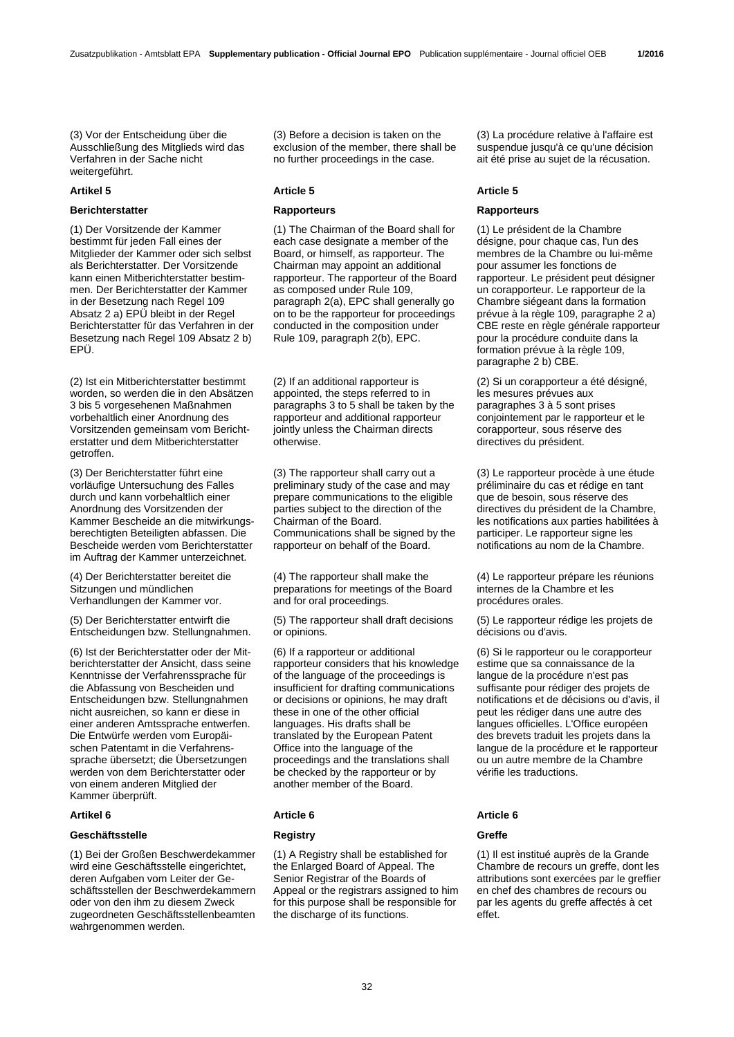(3) Vor der Entscheidung über die Ausschließung des Mitglieds wird das Verfahren in der Sache nicht weitergeführt.

# **Berichterstatter Rapporteurs Rapporteurs**

(1) Der Vorsitzende der Kammer bestimmt für jeden Fall eines der Mitglieder der Kammer oder sich selbst als Berichterstatter. Der Vorsitzende kann einen Mitberichterstatter bestimmen. Der Berichterstatter der Kammer in der Besetzung nach Regel 109 Absatz 2 a) EPÜ bleibt in der Regel Berichterstatter für das Verfahren in der Besetzung nach Regel 109 Absatz 2 b) EPÜ.

(2) Ist ein Mitberichterstatter bestimmt worden, so werden die in den Absätzen 3 bis 5 vorgesehenen Maßnahmen vorbehaltlich einer Anordnung des Vorsitzenden gemeinsam vom Berichterstatter und dem Mitberichterstatter getroffen.

(3) Der Berichterstatter führt eine vorläufige Untersuchung des Falles durch und kann vorbehaltlich einer Anordnung des Vorsitzenden der Kammer Bescheide an die mitwirkungsberechtigten Beteiligten abfassen. Die Bescheide werden vom Berichterstatter im Auftrag der Kammer unterzeichnet.

(4) Der Berichterstatter bereitet die Sitzungen und mündlichen Verhandlungen der Kammer vor.

(5) Der Berichterstatter entwirft die Entscheidungen bzw. Stellungnahmen.

(6) Ist der Berichterstatter oder der Mitberichterstatter der Ansicht, dass seine Kenntnisse der Verfahrenssprache für die Abfassung von Bescheiden und Entscheidungen bzw. Stellungnahmen nicht ausreichen, so kann er diese in einer anderen Amtssprache entwerfen. Die Entwürfe werden vom Europäischen Patentamt in die Verfahrenssprache übersetzt; die Übersetzungen werden von dem Berichterstatter oder von einem anderen Mitglied der Kammer überprüft.

## **Geschäftsstelle Registry Greffe**

(1) Bei der Großen Beschwerdekammer wird eine Geschäftsstelle eingerichtet, deren Aufgaben vom Leiter der Geschäftsstellen der Beschwerdekammern oder von den ihm zu diesem Zweck zugeordneten Geschäftsstellenbeamten wahrgenommen werden.

 (3) Before a decision is taken on the exclusion of the member, there shall be no further proceedings in the case.

## **Artikel 5 Article 5 Article 5**

 (1) The Chairman of the Board shall for each case designate a member of the Board, or himself, as rapporteur. The Chairman may appoint an additional rapporteur. The rapporteur of the Board as composed under Rule 109, paragraph 2(a), EPC shall generally go on to be the rapporteur for proceedings conducted in the composition under Rule 109, paragraph 2(b), EPC.

 (2) If an additional rapporteur is appointed, the steps referred to in paragraphs 3 to 5 shall be taken by the rapporteur and additional rapporteur jointly unless the Chairman directs otherwise.

 (3) The rapporteur shall carry out a preliminary study of the case and may prepare communications to the eligible parties subject to the direction of the Chairman of the Board. Communications shall be signed by the rapporteur on behalf of the Board.

 (4) The rapporteur shall make the preparations for meetings of the Board and for oral proceedings.

 (5) The rapporteur shall draft decisions or opinions.

 (6) If a rapporteur or additional rapporteur considers that his knowledge of the language of the proceedings is insufficient for drafting communications or decisions or opinions, he may draft these in one of the other official languages. His drafts shall be translated by the European Patent Office into the language of the proceedings and the translations shall be checked by the rapporteur or by another member of the Board.

## **Artikel 6 Article 6 Article 6**

 (1) A Registry shall be established for the Enlarged Board of Appeal. The Senior Registrar of the Boards of Appeal or the registrars assigned to him for this purpose shall be responsible for the discharge of its functions.

 (3) La procédure relative à l'affaire est suspendue jusqu'à ce qu'une décision ait été prise au sujet de la récusation.

 (1) Le président de la Chambre désigne, pour chaque cas, l'un des membres de la Chambre ou lui-même pour assumer les fonctions de rapporteur. Le président peut désigner un corapporteur. Le rapporteur de la Chambre siégeant dans la formation prévue à la règle 109, paragraphe 2 a) CBE reste en règle générale rapporteur pour la procédure conduite dans la formation prévue à la règle 109, paragraphe 2 b) CBE.

 (2) Si un corapporteur a été désigné, les mesures prévues aux paragraphes 3 à 5 sont prises conjointement par le rapporteur et le corapporteur, sous réserve des directives du président.

 (3) Le rapporteur procède à une étude préliminaire du cas et rédige en tant que de besoin, sous réserve des directives du président de la Chambre. les notifications aux parties habilitées à participer. Le rapporteur signe les notifications au nom de la Chambre.

 (4) Le rapporteur prépare les réunions internes de la Chambre et les procédures orales.

 (5) Le rapporteur rédige les projets de décisions ou d'avis.

 (6) Si le rapporteur ou le corapporteur estime que sa connaissance de la langue de la procédure n'est pas suffisante pour rédiger des projets de notifications et de décisions ou d'avis, il peut les rédiger dans une autre des langues officielles. L'Office européen des brevets traduit les projets dans la langue de la procédure et le rapporteur ou un autre membre de la Chambre vérifie les traductions.

 (1) Il est institué auprès de la Grande Chambre de recours un greffe, dont les attributions sont exercées par le greffier en chef des chambres de recours ou par les agents du greffe affectés à cet effet.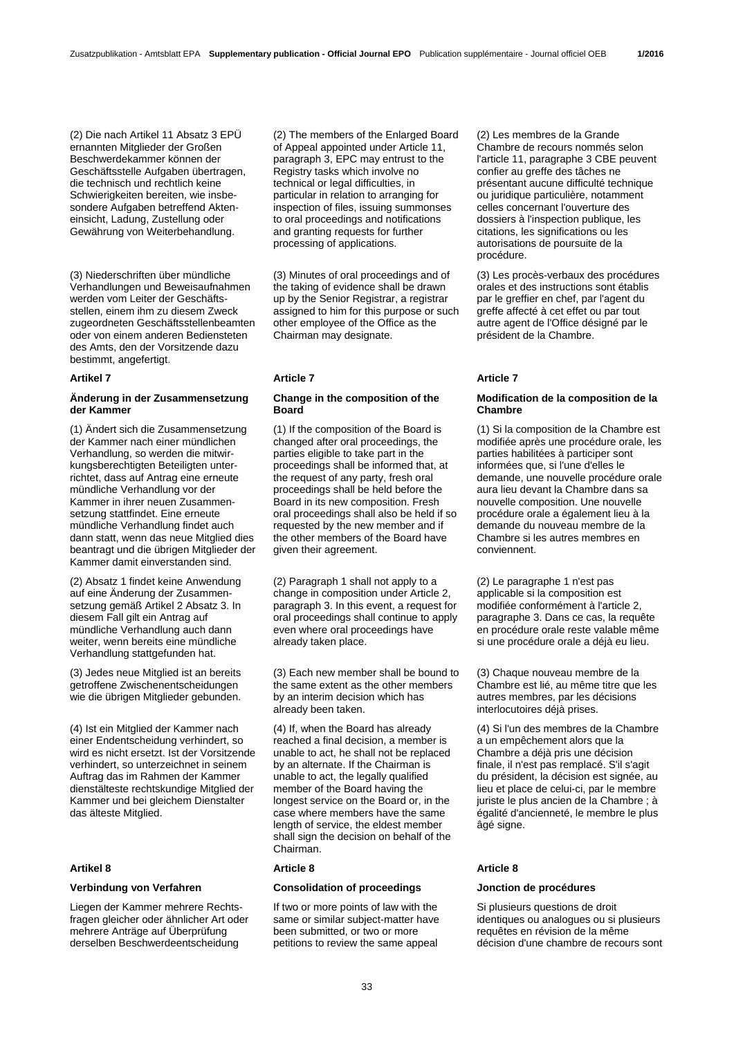(2) Die nach Artikel 11 Absatz 3 EPÜ ernannten Mitglieder der Großen Beschwerdekammer können der Geschäftsstelle Aufgaben übertragen, die technisch und rechtlich keine Schwierigkeiten bereiten, wie insbesondere Aufgaben betreffend Akteneinsicht, Ladung, Zustellung oder Gewährung von Weiterbehandlung.

(3) Niederschriften über mündliche Verhandlungen und Beweisaufnahmen werden vom Leiter der Geschäftsstellen, einem ihm zu diesem Zweck zugeordneten Geschäftsstellenbeamten oder von einem anderen Bediensteten des Amts, den der Vorsitzende dazu bestimmt, angefertigt.

## **Änderung in der Zusammensetzung der Kammer**

(1) Ändert sich die Zusammensetzung der Kammer nach einer mündlichen Verhandlung, so werden die mitwirkungsberechtigten Beteiligten unterrichtet, dass auf Antrag eine erneute mündliche Verhandlung vor der Kammer in ihrer neuen Zusammensetzung stattfindet. Eine erneute mündliche Verhandlung findet auch dann statt, wenn das neue Mitglied dies beantragt und die übrigen Mitglieder der Kammer damit einverstanden sind.

(2) Absatz 1 findet keine Anwendung auf eine Änderung der Zusammensetzung gemäß Artikel 2 Absatz 3. In diesem Fall gilt ein Antrag auf mündliche Verhandlung auch dann weiter, wenn bereits eine mündliche Verhandlung stattgefunden hat.

(3) Jedes neue Mitglied ist an bereits getroffene Zwischenentscheidungen wie die übrigen Mitglieder gebunden.

(4) Ist ein Mitglied der Kammer nach einer Endentscheidung verhindert, so wird es nicht ersetzt. Ist der Vorsitzende verhindert, so unterzeichnet in seinem Auftrag das im Rahmen der Kammer dienstälteste rechtskundige Mitglied der Kammer und bei gleichem Dienstalter das älteste Mitglied.

Liegen der Kammer mehrere Rechtsfragen gleicher oder ähnlicher Art oder mehrere Anträge auf Überprüfung derselben Beschwerdeentscheidung

 (2) The members of the Enlarged Board of Appeal appointed under Article 11, paragraph 3, EPC may entrust to the Registry tasks which involve no technical or legal difficulties, in particular in relation to arranging for inspection of files, issuing summonses to oral proceedings and notifications and granting requests for further processing of applications.

 (3) Minutes of oral proceedings and of the taking of evidence shall be drawn up by the Senior Registrar, a registrar assigned to him for this purpose or such other employee of the Office as the Chairman may designate.

## **Artikel 7 Article 7 Article 7**

## **Change in the composition of the Board**

 (1) If the composition of the Board is changed after oral proceedings, the parties eligible to take part in the proceedings shall be informed that, at the request of any party, fresh oral proceedings shall be held before the Board in its new composition. Fresh oral proceedings shall also be held if so requested by the new member and if the other members of the Board have given their agreement.

 (2) Paragraph 1 shall not apply to a change in composition under Article 2, paragraph 3. In this event, a request for oral proceedings shall continue to apply even where oral proceedings have already taken place.

 (3) Each new member shall be bound to the same extent as the other members by an interim decision which has already been taken.

 (4) If, when the Board has already reached a final decision, a member is unable to act, he shall not be replaced by an alternate. If the Chairman is unable to act, the legally qualified member of the Board having the longest service on the Board or, in the case where members have the same length of service, the eldest member shall sign the decision on behalf of the Chairman.

## **Artikel 8 Article 8 Article 8**

## **Verbindung von Verfahren Consolidation of proceedings Jonction de procédures**

 If two or more points of law with the same or similar subject-matter have been submitted, or two or more petitions to review the same appeal

 (2) Les membres de la Grande Chambre de recours nommés selon l'article 11, paragraphe 3 CBE peuvent confier au greffe des tâches ne présentant aucune difficulté technique ou juridique particulière, notamment celles concernant l'ouverture des dossiers à l'inspection publique, les citations, les significations ou les autorisations de poursuite de la procédure.

 (3) Les procès-verbaux des procédures orales et des instructions sont établis par le greffier en chef, par l'agent du greffe affecté à cet effet ou par tout autre agent de l'Office désigné par le président de la Chambre.

## **Modification de la composition de la Chambre**

 (1) Si la composition de la Chambre est modifiée après une procédure orale, les parties habilitées à participer sont informées que, si l'une d'elles le demande, une nouvelle procédure orale aura lieu devant la Chambre dans sa nouvelle composition. Une nouvelle procédure orale a également lieu à la demande du nouveau membre de la Chambre si les autres membres en conviennent.

 (2) Le paragraphe 1 n'est pas applicable si la composition est modifiée conformément à l'article 2, paragraphe 3. Dans ce cas, la requête en procédure orale reste valable même si une procédure orale a déjà eu lieu.

 (3) Chaque nouveau membre de la Chambre est lié, au même titre que les autres membres, par les décisions interlocutoires déjà prises.

 (4) Si l'un des membres de la Chambre a un empêchement alors que la Chambre a déjà pris une décision finale, il n'est pas remplacé. S'il s'agit du président, la décision est signée, au lieu et place de celui-ci, par le membre juriste le plus ancien de la Chambre ; à égalité d'ancienneté, le membre le plus âgé signe.

 Si plusieurs questions de droit identiques ou analogues ou si plusieurs requêtes en révision de la même décision d'une chambre de recours sont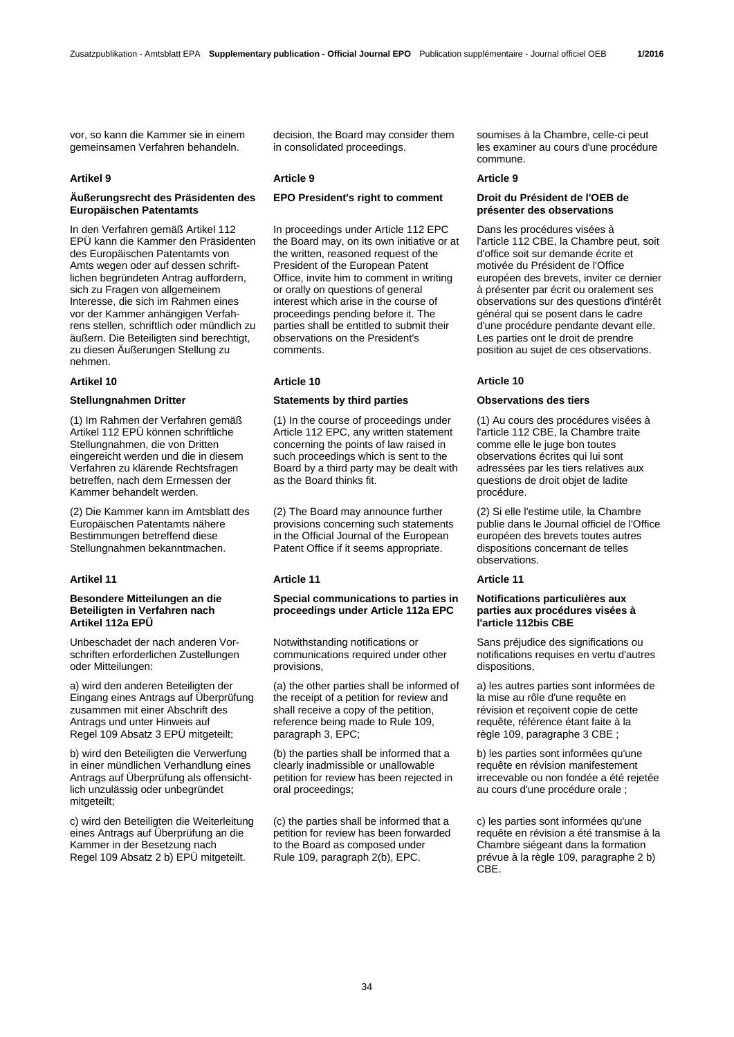vor, so kann die Kammer sie in einem gemeinsamen Verfahren behandeln.

## **Äußerungsrecht des Präsidenten des Europäischen Patentamts**

In den Verfahren gemäß Artikel 112 EPÜ kann die Kammer den Präsidenten des Europäischen Patentamts von Amts wegen oder auf dessen schriftlichen begründeten Antrag auffordern, sich zu Fragen von allgemeinem Interesse, die sich im Rahmen eines vor der Kammer anhängigen Verfahrens stellen, schriftlich oder mündlich zu äußern. Die Beteiligten sind berechtigt, zu diesen Äußerungen Stellung zu nehmen.

(1) Im Rahmen der Verfahren gemäß Artikel 112 EPÜ können schriftliche Stellungnahmen, die von Dritten eingereicht werden und die in diesem Verfahren zu klärende Rechtsfragen betreffen, nach dem Ermessen der Kammer behandelt werden.

(2) Die Kammer kann im Amtsblatt des Europäischen Patentamts nähere Bestimmungen betreffend diese Stellungnahmen bekanntmachen.

## **Besondere Mitteilungen an die Beteiligten in Verfahren nach Artikel 112a EPÜ**

Unbeschadet der nach anderen Vorschriften erforderlichen Zustellungen oder Mitteilungen:

a) wird den anderen Beteiligten der Eingang eines Antrags auf Überprüfung zusammen mit einer Abschrift des Antrags und unter Hinweis auf Regel 109 Absatz 3 EPÜ mitgeteilt;

b) wird den Beteiligten die Verwerfung in einer mündlichen Verhandlung eines Antrags auf Überprüfung als offensichtlich unzulässig oder unbegründet mitgeteilt;

c) wird den Beteiligten die Weiterleitung eines Antrags auf Überprüfung an die Kammer in der Besetzung nach Regel 109 Absatz 2 b) EPÜ mitgeteilt.

decision, the Board may consider them in consolidated proceedings.

## **Artikel 9 Article 9 Article 9**

# **EPO President's right to comment Droit du Président de l'OEB de**

 In proceedings under Article 112 EPC the Board may, on its own initiative or at the written, reasoned request of the President of the European Patent Office, invite him to comment in writing or orally on questions of general interest which arise in the course of proceedings pending before it. The parties shall be entitled to submit their observations on the President's comments.

# **Artikel 10 Article 10 Article 10**

## **Stellungnahmen Dritter Statements by third parties Observations des tiers**

 (1) In the course of proceedings under Article 112 EPC, any written statement concerning the points of law raised in such proceedings which is sent to the Board by a third party may be dealt with as the Board thinks fit.

 (2) The Board may announce further provisions concerning such statements in the Official Journal of the European Patent Office if it seems appropriate.

# **Artikel 11 Article 11 Article 11**

## **Special communications to parties in proceedings under Article 112a EPC**

 Notwithstanding notifications or communications required under other provisions,

 (a) the other parties shall be informed of the receipt of a petition for review and shall receive a copy of the petition, reference being made to Rule 109, paragraph 3, EPC;

 (b) the parties shall be informed that a clearly inadmissible or unallowable petition for review has been rejected in oral proceedings;

 (c) the parties shall be informed that a petition for review has been forwarded to the Board as composed under Rule 109, paragraph 2(b), EPC.

soumises à la Chambre, celle-ci peut les examiner au cours d'une procédure commune.

# **présenter des observations**

 Dans les procédures visées à l'article 112 CBE, la Chambre peut, soit d'office soit sur demande écrite et motivée du Président de l'Office européen des brevets, inviter ce dernier à présenter par écrit ou oralement ses observations sur des questions d'intérêt général qui se posent dans le cadre d'une procédure pendante devant elle. Les parties ont le droit de prendre position au sujet de ces observations.

 (1) Au cours des procédures visées à l'article 112 CBE, la Chambre traite comme elle le juge bon toutes observations écrites qui lui sont adressées par les tiers relatives aux questions de droit objet de ladite procédure.

 (2) Si elle l'estime utile, la Chambre publie dans le Journal officiel de l'Office européen des brevets toutes autres dispositions concernant de telles observations.

## **Notifications particulières aux parties aux procédures visées à l'article 112bis CBE**

 Sans préjudice des significations ou notifications requises en vertu d'autres dispositions,

 a) les autres parties sont informées de la mise au rôle d'une requête en révision et reçoivent copie de cette requête, référence étant faite à la règle 109, paragraphe 3 CBE ;

 b) les parties sont informées qu'une requête en révision manifestement irrecevable ou non fondée a été rejetée au cours d'une procédure orale ;

 c) les parties sont informées qu'une requête en révision a été transmise à la Chambre siégeant dans la formation prévue à la règle 109, paragraphe 2 b) C<sub>BE</sub>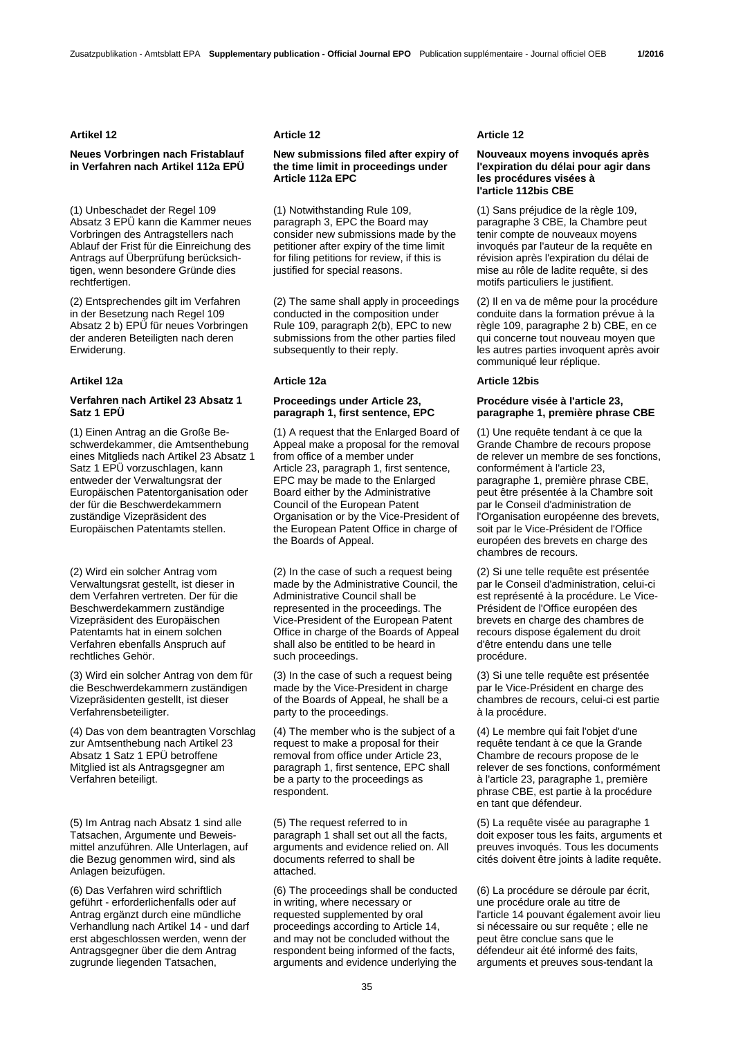## **Artikel 12 Article 12 Article 12**

## **Neues Vorbringen nach Fristablauf in Verfahren nach Artikel 112a EPÜ**

(1) Unbeschadet der Regel 109 Absatz 3 EPÜ kann die Kammer neues Vorbringen des Antragstellers nach Ablauf der Frist für die Einreichung des Antrags auf Überprüfung berücksichtigen, wenn besondere Gründe dies rechtfertigen.

(2) Entsprechendes gilt im Verfahren in der Besetzung nach Regel 109 Absatz 2 b) EPÜ für neues Vorbringen der anderen Beteiligten nach deren Erwiderung.

## **Verfahren nach Artikel 23 Absatz 1 Satz 1 EPÜ**

(1) Einen Antrag an die Große Beschwerdekammer, die Amtsenthebung eines Mitglieds nach Artikel 23 Absatz 1 Satz 1 EPÜ vorzuschlagen, kann entweder der Verwaltungsrat der Europäischen Patentorganisation oder der für die Beschwerdekammern zuständige Vizepräsident des Europäischen Patentamts stellen.

(2) Wird ein solcher Antrag vom Verwaltungsrat gestellt, ist dieser in dem Verfahren vertreten. Der für die Beschwerdekammern zuständige Vizepräsident des Europäischen Patentamts hat in einem solchen Verfahren ebenfalls Anspruch auf rechtliches Gehör.

(3) Wird ein solcher Antrag von dem für die Beschwerdekammern zuständigen Vizepräsidenten gestellt, ist dieser Verfahrensbeteiligter.

(4) Das von dem beantragten Vorschlag zur Amtsenthebung nach Artikel 23 Absatz 1 Satz 1 EPÜ betroffene Mitglied ist als Antragsgegner am Verfahren beteiligt.

(5) Im Antrag nach Absatz 1 sind alle Tatsachen, Argumente und Beweismittel anzuführen. Alle Unterlagen, auf die Bezug genommen wird, sind als Anlagen beizufügen.

(6) Das Verfahren wird schriftlich geführt - erforderlichenfalls oder auf Antrag ergänzt durch eine mündliche Verhandlung nach Artikel 14 - und darf erst abgeschlossen werden, wenn der Antragsgegner über die dem Antrag zugrunde liegenden Tatsachen,

## **New submissions filed after expiry of the time limit in proceedings under Article 112a EPC**

 (1) Notwithstanding Rule 109, paragraph 3, EPC the Board may consider new submissions made by the petitioner after expiry of the time limit for filing petitions for review, if this is justified for special reasons.

 (2) The same shall apply in proceedings conducted in the composition under Rule 109, paragraph 2(b), EPC to new submissions from the other parties filed subsequently to their reply.

## **Proceedings under Article 23, paragraph 1, first sentence, EPC**

 (1) A request that the Enlarged Board of Appeal make a proposal for the removal from office of a member under Article 23, paragraph 1, first sentence, EPC may be made to the Enlarged Board either by the Administrative Council of the European Patent Organisation or by the Vice-President of the European Patent Office in charge of the Boards of Appeal.

 (2) In the case of such a request being made by the Administrative Council, the Administrative Council shall be represented in the proceedings. The Vice-President of the European Patent Office in charge of the Boards of Appeal shall also be entitled to be heard in such proceedings.

 (3) In the case of such a request being made by the Vice-President in charge of the Boards of Appeal, he shall be a party to the proceedings.

 (4) The member who is the subject of a request to make a proposal for their removal from office under Article 23, paragraph 1, first sentence, EPC shall be a party to the proceedings as respondent.

 (5) The request referred to in paragraph 1 shall set out all the facts, arguments and evidence relied on. All documents referred to shall be attached.

 (6) The proceedings shall be conducted in writing, where necessary or requested supplemented by oral proceedings according to Article 14, and may not be concluded without the respondent being informed of the facts, arguments and evidence underlying the

## **Nouveaux moyens invoqués après l'expiration du délai pour agir dans les procédures visées à l'article 112bis CBE**

 (1) Sans préjudice de la règle 109, paragraphe 3 CBE, la Chambre peut tenir compte de nouveaux moyens invoqués par l'auteur de la requête en révision après l'expiration du délai de mise au rôle de ladite requête, si des motifs particuliers le justifient.

 (2) Il en va de même pour la procédure conduite dans la formation prévue à la règle 109, paragraphe 2 b) CBE, en ce qui concerne tout nouveau moyen que les autres parties invoquent après avoir communiqué leur réplique.

## **Artikel 12a Article 12a Article 12bis**

## **Procédure visée à l'article 23, paragraphe 1, première phrase CBE**

 (1) Une requête tendant à ce que la Grande Chambre de recours propose de relever un membre de ses fonctions, conformément à l'article 23, paragraphe 1, première phrase CBE, peut être présentée à la Chambre soit par le Conseil d'administration de l'Organisation européenne des brevets, soit par le Vice-Président de l'Office européen des brevets en charge des chambres de recours.

 (2) Si une telle requête est présentée par le Conseil d'administration, celui-ci est représenté à la procédure. Le Vice-Président de l'Office européen des brevets en charge des chambres de recours dispose également du droit d'être entendu dans une telle procédure.

 (3) Si une telle requête est présentée par le Vice-Président en charge des chambres de recours, celui-ci est partie à la procédure.

 (4) Le membre qui fait l'objet d'une requête tendant à ce que la Grande Chambre de recours propose de le relever de ses fonctions, conformément à l'article 23, paragraphe 1, première phrase CBE, est partie à la procédure en tant que défendeur.

 (5) La requête visée au paragraphe 1 doit exposer tous les faits, arguments et preuves invoqués. Tous les documents cités doivent être joints à ladite requête.

 (6) La procédure se déroule par écrit, une procédure orale au titre de l'article 14 pouvant également avoir lieu si nécessaire ou sur requête ; elle ne peut être conclue sans que le défendeur ait été informé des faits, arguments et preuves sous-tendant la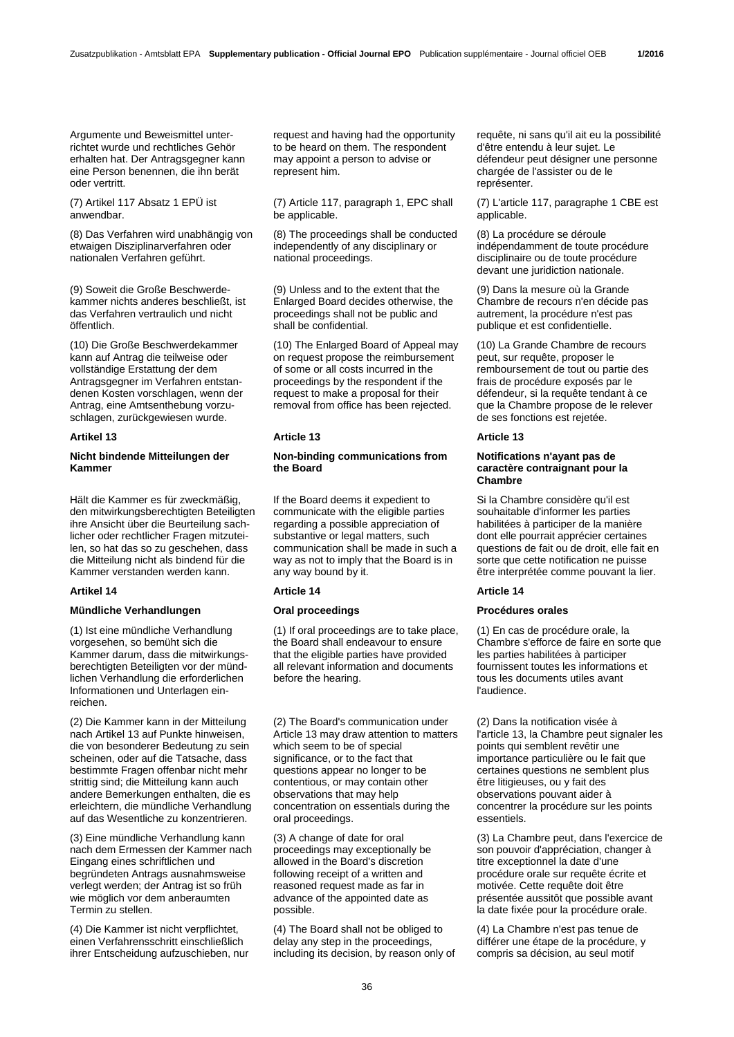Argumente und Beweismittel unterrichtet wurde und rechtliches Gehör erhalten hat. Der Antragsgegner kann eine Person benennen, die ihn berät oder vertritt.

(7) Artikel 117 Absatz 1 EPÜ ist anwendbar.

(8) Das Verfahren wird unabhängig von etwaigen Disziplinarverfahren oder nationalen Verfahren geführt.

(9) Soweit die Große Beschwerdekammer nichts anderes beschließt, ist das Verfahren vertraulich und nicht öffentlich.

(10) Die Große Beschwerdekammer kann auf Antrag die teilweise oder vollständige Erstattung der dem Antragsgegner im Verfahren entstandenen Kosten vorschlagen, wenn der Antrag, eine Amtsenthebung vorzuschlagen, zurückgewiesen wurde.

## **Nicht bindende Mitteilungen der Kammer**

Hält die Kammer es für zweckmäßig, den mitwirkungsberechtigten Beteiligten ihre Ansicht über die Beurteilung sachlicher oder rechtlicher Fragen mitzuteilen, so hat das so zu geschehen, dass die Mitteilung nicht als bindend für die Kammer verstanden werden kann.

## **Mündliche Verhandlungen Oral proceedings Procédures orales**

(1) Ist eine mündliche Verhandlung vorgesehen, so bemüht sich die Kammer darum, dass die mitwirkungsberechtigten Beteiligten vor der mündlichen Verhandlung die erforderlichen Informationen und Unterlagen einreichen.

(2) Die Kammer kann in der Mitteilung nach Artikel 13 auf Punkte hinweisen, die von besonderer Bedeutung zu sein scheinen, oder auf die Tatsache, dass bestimmte Fragen offenbar nicht mehr strittig sind; die Mitteilung kann auch andere Bemerkungen enthalten, die es erleichtern, die mündliche Verhandlung auf das Wesentliche zu konzentrieren.

(3) Eine mündliche Verhandlung kann nach dem Ermessen der Kammer nach Eingang eines schriftlichen und begründeten Antrags ausnahmsweise verlegt werden; der Antrag ist so früh wie möglich vor dem anberaumten Termin zu stellen.

(4) Die Kammer ist nicht verpflichtet, einen Verfahrensschritt einschließlich ihrer Entscheidung aufzuschieben, nur request and having had the opportunity to be heard on them. The respondent may appoint a person to advise or represent him.

 (7) Article 117, paragraph 1, EPC shall be applicable.

 (8) The proceedings shall be conducted independently of any disciplinary or national proceedings.

 (9) Unless and to the extent that the Enlarged Board decides otherwise, the proceedings shall not be public and shall be confidential.

 (10) The Enlarged Board of Appeal may on request propose the reimbursement of some or all costs incurred in the proceedings by the respondent if the request to make a proposal for their removal from office has been rejected.

## **Artikel 13 Article 13 Article 13**

## **Non-binding communications from the Board**

 If the Board deems it expedient to communicate with the eligible parties regarding a possible appreciation of substantive or legal matters, such communication shall be made in such a way as not to imply that the Board is in any way bound by it.

## **Artikel 14 Article 14 Article 14**

 (1) If oral proceedings are to take place, the Board shall endeavour to ensure that the eligible parties have provided all relevant information and documents before the hearing.

 (2) The Board's communication under Article 13 may draw attention to matters which seem to be of special significance, or to the fact that questions appear no longer to be contentious, or may contain other observations that may help concentration on essentials during the oral proceedings.

 (3) A change of date for oral proceedings may exceptionally be allowed in the Board's discretion following receipt of a written and reasoned request made as far in advance of the appointed date as possible.

 (4) The Board shall not be obliged to delay any step in the proceedings, including its decision, by reason only of requête, ni sans qu'il ait eu la possibilité d'être entendu à leur sujet. Le défendeur peut désigner une personne chargée de l'assister ou de le représenter.

 (7) L'article 117, paragraphe 1 CBE est applicable.

 (8) La procédure se déroule indépendamment de toute procédure disciplinaire ou de toute procédure devant une juridiction nationale.

 (9) Dans la mesure où la Grande Chambre de recours n'en décide pas autrement, la procédure n'est pas publique et est confidentielle.

 (10) La Grande Chambre de recours peut, sur requête, proposer le remboursement de tout ou partie des frais de procédure exposés par le défendeur, si la requête tendant à ce que la Chambre propose de le relever de ses fonctions est rejetée.

## **Notifications n'ayant pas de caractère contraignant pour la Chambre**

 Si la Chambre considère qu'il est souhaitable d'informer les parties habilitées à participer de la manière dont elle pourrait apprécier certaines questions de fait ou de droit, elle fait en sorte que cette notification ne puisse être interprétée comme pouvant la lier.

 (1) En cas de procédure orale, la Chambre s'efforce de faire en sorte que les parties habilitées à participer fournissent toutes les informations et tous les documents utiles avant l'audience.

 (2) Dans la notification visée à l'article 13, la Chambre peut signaler les points qui semblent revêtir une importance particulière ou le fait que certaines questions ne semblent plus être litigieuses, ou y fait des observations pouvant aider à concentrer la procédure sur les points essentiels.

 (3) La Chambre peut, dans l'exercice de son pouvoir d'appréciation, changer à titre exceptionnel la date d'une procédure orale sur requête écrite et motivée. Cette requête doit être présentée aussitôt que possible avant la date fixée pour la procédure orale.

 (4) La Chambre n'est pas tenue de différer une étape de la procédure, y compris sa décision, au seul motif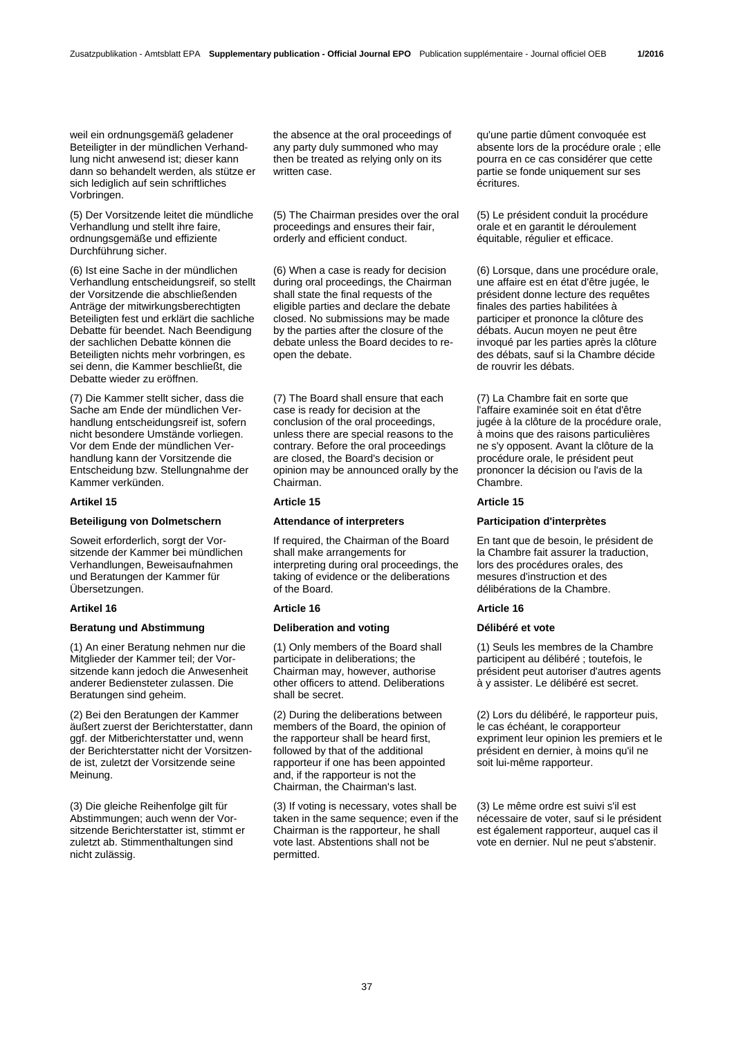weil ein ordnungsgemäß geladener Beteiligter in der mündlichen Verhandlung nicht anwesend ist; dieser kann dann so behandelt werden, als stütze er sich lediglich auf sein schriftliches Vorbringen.

(5) Der Vorsitzende leitet die mündliche Verhandlung und stellt ihre faire, ordnungsgemäße und effiziente Durchführung sicher.

(6) Ist eine Sache in der mündlichen Verhandlung entscheidungsreif, so stellt der Vorsitzende die abschließenden Anträge der mitwirkungsberechtigten Beteiligten fest und erklärt die sachliche Debatte für beendet. Nach Beendigung der sachlichen Debatte können die Beteiligten nichts mehr vorbringen, es sei denn, die Kammer beschließt, die Debatte wieder zu eröffnen.

(7) Die Kammer stellt sicher, dass die Sache am Ende der mündlichen Verhandlung entscheidungsreif ist, sofern nicht besondere Umstände vorliegen. Vor dem Ende der mündlichen Verhandlung kann der Vorsitzende die Entscheidung bzw. Stellungnahme der Kammer verkünden.

## **Beteiligung von Dolmetschern Attendance of interpreters Participation d'interprètes**

Soweit erforderlich, sorgt der Vorsitzende der Kammer bei mündlichen Verhandlungen, Beweisaufnahmen und Beratungen der Kammer für Übersetzungen.

## **Artikel 16 Article 16 Article 16**

## **Beratung und Abstimmung Deliberation and voting Délibéré et vote**

(1) An einer Beratung nehmen nur die Mitglieder der Kammer teil; der Vorsitzende kann jedoch die Anwesenheit anderer Bediensteter zulassen. Die Beratungen sind geheim.

(2) Bei den Beratungen der Kammer äußert zuerst der Berichterstatter, dann ggf. der Mitberichterstatter und, wenn der Berichterstatter nicht der Vorsitzende ist, zuletzt der Vorsitzende seine Meinung.

(3) Die gleiche Reihenfolge gilt für Abstimmungen; auch wenn der Vorsitzende Berichterstatter ist, stimmt er zuletzt ab. Stimmenthaltungen sind nicht zulässig.

the absence at the oral proceedings of any party duly summoned who may then be treated as relying only on its written case.

 (5) The Chairman presides over the oral proceedings and ensures their fair, orderly and efficient conduct.

 (6) When a case is ready for decision during oral proceedings, the Chairman shall state the final requests of the eligible parties and declare the debate closed. No submissions may be made by the parties after the closure of the debate unless the Board decides to reopen the debate.

 (7) The Board shall ensure that each case is ready for decision at the conclusion of the oral proceedings, unless there are special reasons to the contrary. Before the oral proceedings are closed, the Board's decision or opinion may be announced orally by the Chairman.

## **Artikel 15 Article 15 Article 15**

 If required, the Chairman of the Board shall make arrangements for interpreting during oral proceedings, the taking of evidence or the deliberations of the Board.

 (1) Only members of the Board shall participate in deliberations; the Chairman may, however, authorise other officers to attend. Deliberations shall be secret.

 (2) During the deliberations between members of the Board, the opinion of the rapporteur shall be heard first, followed by that of the additional rapporteur if one has been appointed and, if the rapporteur is not the Chairman, the Chairman's last.

 (3) If voting is necessary, votes shall be taken in the same sequence; even if the Chairman is the rapporteur, he shall vote last. Abstentions shall not be permitted.

qu'une partie dûment convoquée est absente lors de la procédure orale ; elle pourra en ce cas considérer que cette partie se fonde uniquement sur ses écritures.

 (5) Le président conduit la procédure orale et en garantit le déroulement équitable, régulier et efficace.

 (6) Lorsque, dans une procédure orale, une affaire est en état d'être jugée, le président donne lecture des requêtes finales des parties habilitées à participer et prononce la clôture des débats. Aucun moyen ne peut être invoqué par les parties après la clôture des débats, sauf si la Chambre décide de rouvrir les débats.

 (7) La Chambre fait en sorte que l'affaire examinée soit en état d'être jugée à la clôture de la procédure orale, à moins que des raisons particulières ne s'y opposent. Avant la clôture de la procédure orale, le président peut prononcer la décision ou l'avis de la .<br>Chamhre

 En tant que de besoin, le président de la Chambre fait assurer la traduction, lors des procédures orales, des mesures d'instruction et des délibérations de la Chambre.

 (1) Seuls les membres de la Chambre participent au délibéré ; toutefois, le président peut autoriser d'autres agents à y assister. Le délibéré est secret.

 (2) Lors du délibéré, le rapporteur puis, le cas échéant, le corapporteur expriment leur opinion les premiers et le président en dernier, à moins qu'il ne soit lui-même rapporteur.

 (3) Le même ordre est suivi s'il est nécessaire de voter, sauf si le président est également rapporteur, auquel cas il vote en dernier. Nul ne peut s'abstenir.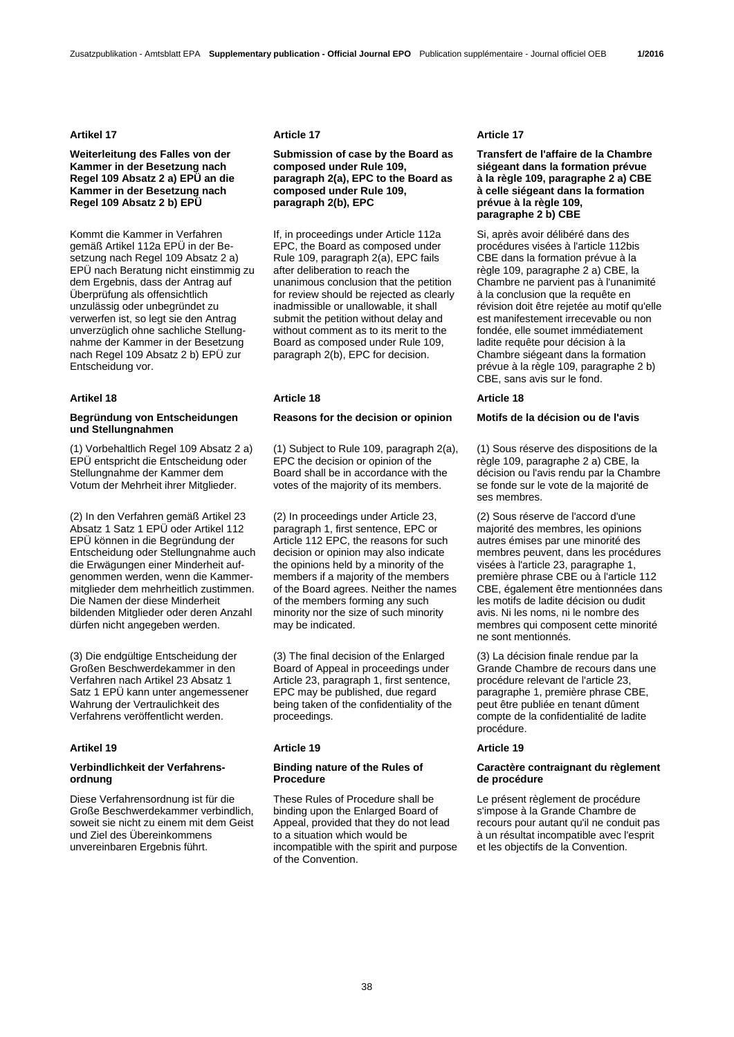## **Artikel 17 Article 17 Article 17**

## **Weiterleitung des Falles von der Kammer in der Besetzung nach Regel 109 Absatz 2 a) EPÜ an die Kammer in der Besetzung nach Regel 109 Absatz 2 b) EPÜ**

Kommt die Kammer in Verfahren gemäß Artikel 112a EPÜ in der Besetzung nach Regel 109 Absatz 2 a) EPÜ nach Beratung nicht einstimmig zu dem Ergebnis, dass der Antrag auf Überprüfung als offensichtlich unzulässig oder unbegründet zu verwerfen ist, so legt sie den Antrag unverzüglich ohne sachliche Stellungnahme der Kammer in der Besetzung nach Regel 109 Absatz 2 b) EPÜ zur Entscheidung vor.

# **Artikel 18 Article 18 Article 18**

## **Begründung von Entscheidungen und Stellungnahmen**

(1) Vorbehaltlich Regel 109 Absatz 2 a) EPÜ entspricht die Entscheidung oder Stellungnahme der Kammer dem Votum der Mehrheit ihrer Mitglieder.

(2) In den Verfahren gemäß Artikel 23 Absatz 1 Satz 1 EPÜ oder Artikel 112 EPÜ können in die Begründung der Entscheidung oder Stellungnahme auch die Erwägungen einer Minderheit aufgenommen werden, wenn die Kammermitglieder dem mehrheitlich zustimmen. Die Namen der diese Minderheit bildenden Mitglieder oder deren Anzahl dürfen nicht angegeben werden.

(3) Die endgültige Entscheidung der Großen Beschwerdekammer in den Verfahren nach Artikel 23 Absatz 1 Satz 1 EPÜ kann unter angemessener Wahrung der Vertraulichkeit des Verfahrens veröffentlicht werden.

## **Artikel 19 Article 19 Article 19**

## **Verbindlichkeit der Verfahrensordnung**

Diese Verfahrensordnung ist für die Große Beschwerdekammer verbindlich, soweit sie nicht zu einem mit dem Geist und Ziel des Übereinkommens unvereinbaren Ergebnis führt.

**Submission of case by the Board as composed under Rule 109, paragraph 2(a), EPC to the Board as composed under Rule 109, paragraph 2(b), EPC**

 If, in proceedings under Article 112a EPC, the Board as composed under Rule 109, paragraph 2(a), EPC fails after deliberation to reach the unanimous conclusion that the petition for review should be rejected as clearly inadmissible or unallowable, it shall submit the petition without delay and without comment as to its merit to the Board as composed under Rule 109, paragraph 2(b), EPC for decision.

## **Reasons for the decision or opinion Motifs de la décision ou de l'avis**

 (1) Subject to Rule 109, paragraph 2(a), EPC the decision or opinion of the Board shall be in accordance with the votes of the majority of its members.

 (2) In proceedings under Article 23, paragraph 1, first sentence, EPC or Article 112 EPC, the reasons for such decision or opinion may also indicate the opinions held by a minority of the members if a majority of the members of the Board agrees. Neither the names of the members forming any such minority nor the size of such minority may be indicated.

 (3) The final decision of the Enlarged Board of Appeal in proceedings under Article 23, paragraph 1, first sentence, EPC may be published, due regard being taken of the confidentiality of the proceedings.

## **Binding nature of the Rules of Procedure**

 These Rules of Procedure shall be binding upon the Enlarged Board of Appeal, provided that they do not lead to a situation which would be incompatible with the spirit and purpose of the Convention.

## **Transfert de l'affaire de la Chambre siégeant dans la formation prévue à la règle 109, paragraphe 2 a) CBE à celle siégeant dans la formation prévue à la règle 109, paragraphe 2 b) CBE**

 Si, après avoir délibéré dans des procédures visées à l'article 112bis CBE dans la formation prévue à la règle 109, paragraphe 2 a) CBE, la Chambre ne parvient pas à l'unanimité à la conclusion que la requête en révision doit être rejetée au motif qu'elle est manifestement irrecevable ou non fondée, elle soumet immédiatement ladite requête pour décision à la Chambre siégeant dans la formation prévue à la règle 109, paragraphe 2 b) CBE, sans avis sur le fond.

 (1) Sous réserve des dispositions de la règle 109, paragraphe 2 a) CBE, la décision ou l'avis rendu par la Chambre se fonde sur le vote de la majorité de ses membres.

 (2) Sous réserve de l'accord d'une majorité des membres, les opinions autres émises par une minorité des membres peuvent, dans les procédures visées à l'article 23, paragraphe 1, première phrase CBE ou à l'article 112 CBE, également être mentionnées dans les motifs de ladite décision ou dudit avis. Ni les noms, ni le nombre des membres qui composent cette minorité ne sont mentionnés.

 (3) La décision finale rendue par la Grande Chambre de recours dans une procédure relevant de l'article 23, paragraphe 1, première phrase CBE, peut être publiée en tenant dûment compte de la confidentialité de ladite procédure.

## **Caractère contraignant du règlement de procédure**

 Le présent règlement de procédure s'impose à la Grande Chambre de recours pour autant qu'il ne conduit pas à un résultat incompatible avec l'esprit et les objectifs de la Convention.